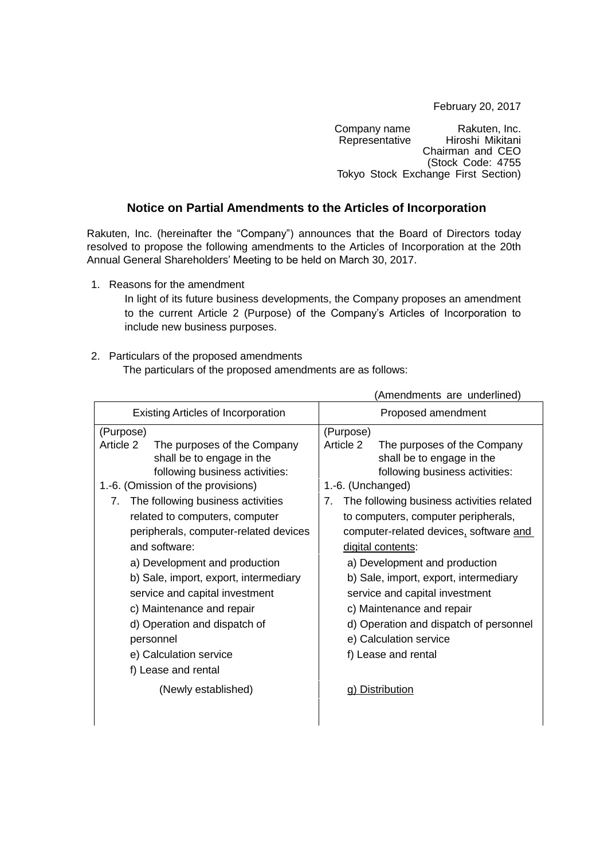February 20, 2017

Company name Rakuten, Inc.<br>Representative Hiroshi Mikitani Hiroshi Mikitani Chairman and CEO (Stock Code: 4755 Tokyo Stock Exchange First Section)

(Amendments are underlined)

## **Notice on Partial Amendments to the Articles of Incorporation**

Rakuten, Inc. (hereinafter the "Company") announces that the Board of Directors today resolved to propose the following amendments to the Articles of Incorporation at the 20th Annual General Shareholders' Meeting to be held on March 30, 2017.

1. Reasons for the amendment

In light of its future business developments, the Company proposes an amendment to the current Article 2 (Purpose) of the Company's Articles of Incorporation to include new business purposes.

## 2. Particulars of the proposed amendments

The particulars of the proposed amendments are as follows:

|                                                                                                                                                                                                                                                                                                                                                                                                                                                                                                                                                              | Allegation control and control and control and control and control and control and control and control and control and control and control and control and control and control and control and control and control and control                                                                                                                                                                                                                                                                                                                            |
|--------------------------------------------------------------------------------------------------------------------------------------------------------------------------------------------------------------------------------------------------------------------------------------------------------------------------------------------------------------------------------------------------------------------------------------------------------------------------------------------------------------------------------------------------------------|-----------------------------------------------------------------------------------------------------------------------------------------------------------------------------------------------------------------------------------------------------------------------------------------------------------------------------------------------------------------------------------------------------------------------------------------------------------------------------------------------------------------------------------------------------------|
| <b>Existing Articles of Incorporation</b>                                                                                                                                                                                                                                                                                                                                                                                                                                                                                                                    | Proposed amendment                                                                                                                                                                                                                                                                                                                                                                                                                                                                                                                                        |
| (Purpose)<br>Article 2<br>The purposes of the Company<br>shall be to engage in the<br>following business activities:<br>1.-6. (Omission of the provisions)<br>7. The following business activities<br>related to computers, computer<br>peripherals, computer-related devices<br>and software:<br>a) Development and production<br>b) Sale, import, export, intermediary<br>service and capital investment<br>c) Maintenance and repair<br>d) Operation and dispatch of<br>personnel<br>e) Calculation service<br>f) Lease and rental<br>(Newly established) | (Purpose)<br>Article 2<br>The purposes of the Company<br>shall be to engage in the<br>following business activities:<br>1.-6. (Unchanged)<br>The following business activities related<br>7.<br>to computers, computer peripherals,<br>computer-related devices, software and<br>digital contents:<br>a) Development and production<br>b) Sale, import, export, intermediary<br>service and capital investment<br>c) Maintenance and repair<br>d) Operation and dispatch of personnel<br>e) Calculation service<br>f) Lease and rental<br>g) Distribution |
|                                                                                                                                                                                                                                                                                                                                                                                                                                                                                                                                                              |                                                                                                                                                                                                                                                                                                                                                                                                                                                                                                                                                           |